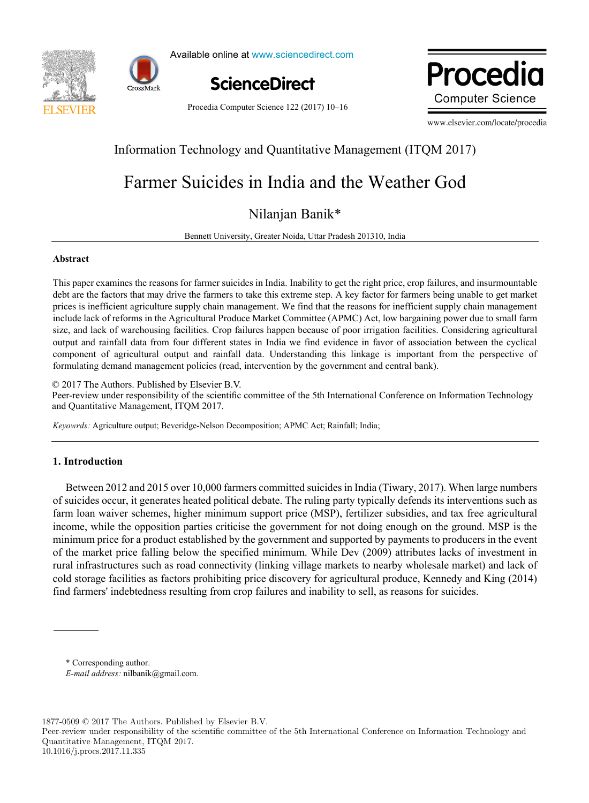



Available online at www.sciencedirect.com Available online at www.sciencedirect.com



Procedia Computer Science 122 (2017) 10-16

Procedia **Computer Science** 

www.elsevier.com/locate/procedia

# Information Technology and Quantitative Management (ITQM 2017)

# Farmer Suicides in India and the Weather God

# Nilanjan Banik\*

Bennett University, Greater Noida, Uttar Pradesh 201310, India

## **Abstract**

This paper examines the reasons for farmer suicides in India. Inability to get the right price, crop failures, and insurmountable debt are the factors that may drive the farmers to take this extreme step. A key factor for farmers being unable to get market prices is inefficient agriculture supply chain management. We find that the reasons for inefficient supply chain management include lack of reforms in the Agricultural Produce Market Committee (APMC) Act, low bargaining power due to small farm size, and lack of warehousing facilities. Crop failures happen because of poor irrigation facilities. Considering agricultural output and rainfall data from four different states in India we find evidence in favor of association between the cyclical component of agricultural output and rainfall data. Understanding this linkage is important from the perspective of formulating demand management policies (read, intervention by the government and central bank).

© 2017 The Authors. Published by Elsevier B.V.

Peer-review under responsibility of the scientific committee of the 5th International Conference on Information Technology © 2017 The Authors. Published by Elsevier B.V. and Quantitative Management, ITQM 2017.

*Keyowrds:* Agriculture output; Beveridge-Nelson Decomposition; APMC Act; Rainfall; India;

# **1. Introduction**

Between 2012 and 2015 over 10,000 farmers committed suicides in India (Tiwary, 2017). When large numbers of suicides occur, it generates heated political debate. The ruling party typically defends its interventions such as farm loan waiver schemes, higher minimum support price (MSP), fertilizer subsidies, and tax free agricultural income, while the opposition parties criticise the government for not doing enough on the ground. MSP is the minimum price for a product established by the government and supported by payments to producers in the event of the market price falling below the specified minimum. While Dev (2009) attributes lacks of investment in rural infrastructures such as road connectivity (linking village markets to nearby wholesale market) and lack of cold storage facilities as factors prohibiting price discovery for agricultural produce, Kennedy and King (2014) find farmers' indebtedness resulting from crop failures and inability to sell, as reasons for suicides.

\* Corresponding author. *E-mail address:* nilbanik@gmail.com.

1877-0509 © 2017 The Authors. Published by Elsevier B.V.

Peer-review under responsibility of the scientific committee of the 5th International Conference on Information Technology and Quantitative Management, ITQM 2017. 10.1016/j.procs.2017.11.335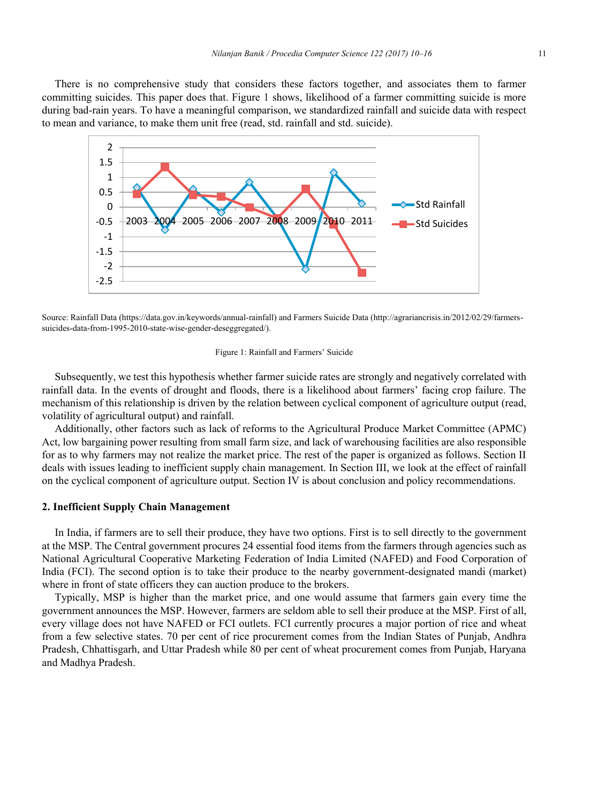There is no comprehensive study that considers these factors together, and associates them to farmer committing suicides. This paper does that. Figure 1 shows, likelihood of a farmer committing suicide is more during bad-rain years. To have a meaningful comparison, we standardized rainfall and suicide data with respect to mean and variance, to make them unit free (read, std. rainfall and std. suicide).



Source: Rainfall Data (https://data.gov.in/keywords/annual-rainfall) and Farmers Suicide Data (http://agrariancrisis.in/2012/02/29/farmerssuicides-data-from-1995-2010-state-wise-gender-deseggregated/).

#### Figure 1: Rainfall and Farmers' Suicide

Subsequently, we test this hypothesis whether farmer suicide rates are strongly and negatively correlated with rainfall data. In the events of drought and floods, there is a likelihood about farmers' facing crop failure. The mechanism of this relationship is driven by the relation between cyclical component of agriculture output (read, volatility of agricultural output) and rainfall.

Additionally, other factors such as lack of reforms to the Agricultural Produce Market Committee (APMC) Act, low bargaining power resulting from small farm size, and lack of warehousing facilities are also responsible for as to why farmers may not realize the market price. The rest of the paper is organized as follows. Section II deals with issues leading to inefficient supply chain management. In Section III, we look at the effect of rainfall on the cyclical component of agriculture output. Section IV is about conclusion and policy recommendations.

# **2. Inefficient Supply Chain Management**

In India, if farmers are to sell their produce, they have two options. First is to sell directly to the government at the MSP. The Central government procures 24 essential food items from the farmers through agencies such as National Agricultural Cooperative Marketing Federation of India Limited (NAFED) and Food Corporation of India (FCI). The second option is to take their produce to the nearby government-designated mandi (market) where in front of state officers they can auction produce to the brokers.

Typically, MSP is higher than the market price, and one would assume that farmers gain every time the government announces the MSP. However, farmers are seldom able to sell their produce at the MSP. First of all, every village does not have NAFED or FCI outlets. FCI currently procures a major portion of rice and wheat from a few selective states. 70 per cent of rice procurement comes from the Indian States of Punjab, Andhra Pradesh, Chhattisgarh, and Uttar Pradesh while 80 per cent of wheat procurement comes from Punjab, Haryana and Madhya Pradesh.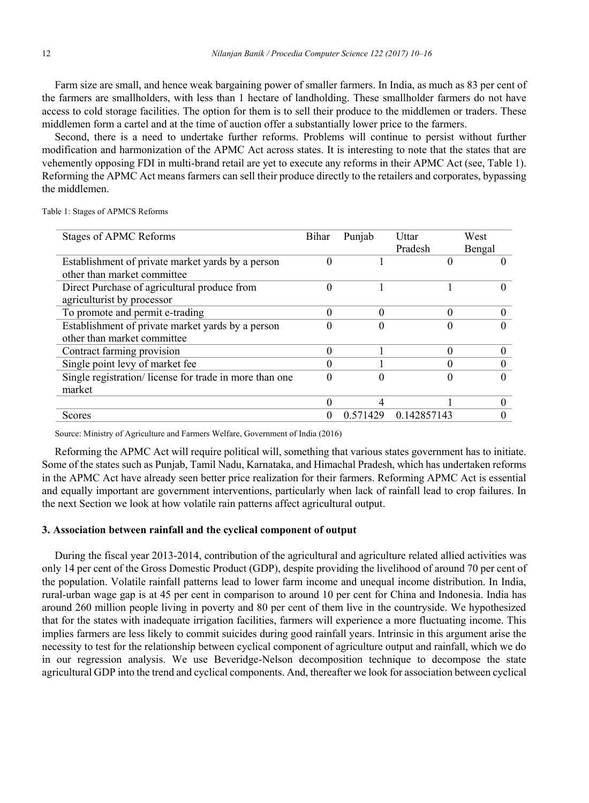Farm size are small, and hence weak bargaining power of smaller farmers. In India, as much as 83 per cent of the farmers are smallholders, with less than 1 hectare of landholding. These smallholder farmers do not have access to cold storage facilities. The option for them is to sell their produce to the middlemen or traders. These middlemen form a cartel and at the time of auction offer a substantially lower price to the farmers.

Second, there is a need to undertake further reforms. Problems will continue to persist without further modification and harmonization of the APMC Act across states. It is interesting to note that the states that are vehemently opposing FDI in multi-brand retail are yet to execute any reforms in their APMC Act (see, Table 1). Reforming the APMC Act means farmers can sell their produce directly to the retailers and corporates, bypassing the middlemen.

Table 1: Stages of APMCS Reforms

| <b>Stages of APMC Reforms</b>                          | Bihar    | Punjab   | Uttar       | West   |
|--------------------------------------------------------|----------|----------|-------------|--------|
|                                                        |          |          | Pradesh     | Bengal |
| Establishment of private market yards by a person      | 0        |          |             |        |
| other than market committee                            |          |          |             |        |
| Direct Purchase of agricultural produce from           | 0        |          |             |        |
| agriculturist by processor                             |          |          |             |        |
| To promote and permit e-trading                        | 0        | 0        | 0           |        |
| Establishment of private market yards by a person      | 0        |          | 0           |        |
| other than market committee                            |          |          |             |        |
| Contract farming provision                             | 0        |          | 0           |        |
| Single point levy of market fee                        | 0        |          | 0           |        |
| Single registration/license for trade in more than one | 0        |          | 0           |        |
| market                                                 |          |          |             |        |
|                                                        | 0        |          |             |        |
| Scores                                                 | $\theta$ | 0.571429 | 0.142857143 |        |

Source: Ministry of Agriculture and Farmers Welfare, Government of India (2016)

Reforming the APMC Act will require political will, something that various states government has to initiate. Some of the states such as Punjab, Tamil Nadu, Karnataka, and Himachal Pradesh, which has undertaken reforms in the APMC Act have already seen better price realization for their farmers. Reforming APMC Act is essential and equally important are government interventions, particularly when lack of rainfall lead to crop failures. In the next Section we look at how volatile rain patterns affect agricultural output.

## **3. Association between rainfall and the cyclical component of output**

During the fiscal year 2013-2014, contribution of the agricultural and agriculture related allied activities was only 14 per cent of the Gross Domestic Product (GDP), despite providing the livelihood of around 70 per cent of the population. Volatile rainfall patterns lead to lower farm income and unequal income distribution. In India, rural-urban wage gap is at 45 per cent in comparison to around 10 per cent for China and Indonesia. India has around 260 million people living in poverty and 80 per cent of them live in the countryside. We hypothesized that for the states with inadequate irrigation facilities, farmers will experience a more fluctuating income. This implies farmers are less likely to commit suicides during good rainfall years. Intrinsic in this argument arise the necessity to test for the relationship between cyclical component of agriculture output and rainfall, which we do in our regression analysis. We use Beveridge-Nelson decomposition technique to decompose the state agricultural GDP into the trend and cyclical components. And, thereafter we look for association between cyclical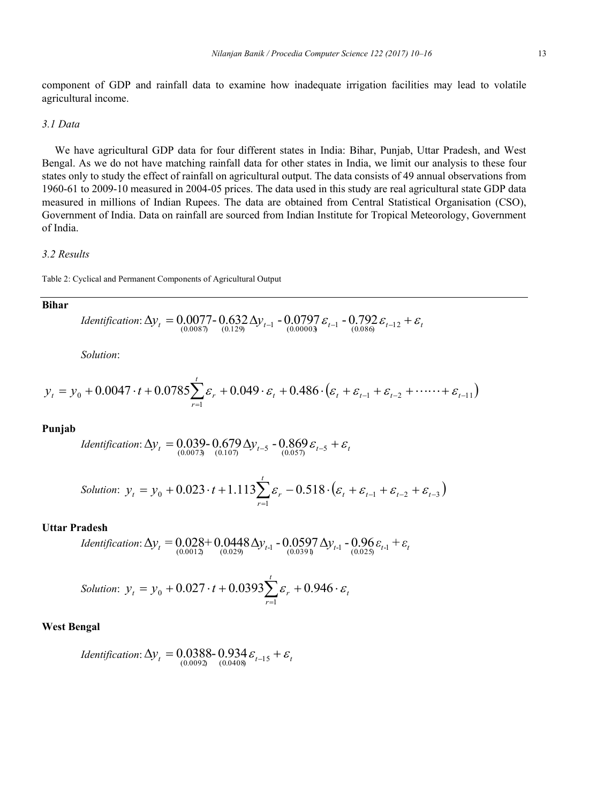component of GDP and rainfall data to examine how inadequate irrigation facilities may lead to volatile agricultural income.

# *3.1 Data*

We have agricultural GDP data for four different states in India: Bihar, Punjab, Uttar Pradesh, and West Bengal. As we do not have matching rainfall data for other states in India, we limit our analysis to these four states only to study the effect of rainfall on agricultural output. The data consists of 49 annual observations from 1960-61 to 2009-10 measured in 2004-05 prices. The data used in this study are real agricultural state GDP data measured in millions of Indian Rupees. The data are obtained from Central Statistical Organisation (CSO), Government of India. Data on rainfall are sourced from Indian Institute for Tropical Meteorology, Government of India.

## *3.2 Results*

Table 2: Cyclical and Permanent Components of Agricultural Output

## **Bihar**

*Identification*: 
$$
\Delta y_t = 0.0077 - 0.632 \Delta y_{t-1} - 0.0797 \varepsilon_{t-1} - 0.792 \varepsilon_{t-1} + \varepsilon_t
$$

*Solution*:

$$
y_{t} = y_{0} + 0.0047 \cdot t + 0.0785 \sum_{r=1}^{t} \varepsilon_{r} + 0.049 \cdot \varepsilon_{t} + 0.486 \cdot (\varepsilon_{t} + \varepsilon_{t-1} + \varepsilon_{t-2} + \cdots + \varepsilon_{t-1})
$$

# **Punjab**

*Identification*: 
$$
\Delta y_t = 0.039 - 0.679 \Delta y_{t-5} - 0.869 \varepsilon_{t-5} + \varepsilon_t
$$
  
 $^{(0.0073)}$ 

Solution: 
$$
y_t = y_0 + 0.023 \cdot t + 1.113 \sum_{r=1}^{t} \varepsilon_r - 0.518 \cdot (\varepsilon_t + \varepsilon_{t-1} + \varepsilon_{t-2} + \varepsilon_{t-3})
$$

# **Uttar Pradesh**

*Identification*: 
$$
\Delta y_t = 0.028 + 0.0448 \Delta y_{t-1} - 0.0597 \Delta y_{t-1} - 0.96 \varepsilon_{t-1} + \varepsilon_t
$$
  
<sub>(0.0012)</sub> (0.029)

Solution: 
$$
y_t = y_0 + 0.027 \cdot t + 0.0393 \sum_{r=1}^{t} \varepsilon_r + 0.946 \cdot \varepsilon_t
$$

## **West Bengal**

*Identification*: 
$$
\Delta y_t = 0.0388 - 0.934 \varepsilon_{t-15} + \varepsilon_t
$$
  
<sub>(0.0092)</sub> (0.0408)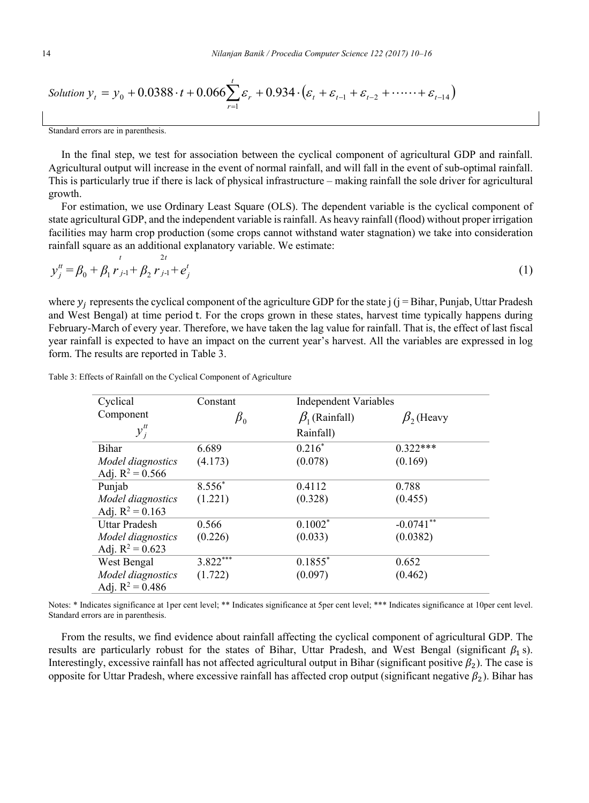Solution 
$$
y_t = y_0 + 0.0388 \cdot t + 0.066 \sum_{r=1}^{t} \varepsilon_r + 0.934 \cdot (\varepsilon_t + \varepsilon_{t-1} + \varepsilon_{t-2} + \cdots + \varepsilon_{t-14})
$$

Standard errors are in parenthesis.

In the final step, we test for association between the cyclical component of agricultural GDP and rainfall. Agricultural output will increase in the event of normal rainfall, and will fall in the event of sub-optimal rainfall. This is particularly true if there is lack of physical infrastructure – making rainfall the sole driver for agricultural growth.

For estimation, we use Ordinary Least Square (OLS). The dependent variable is the cyclical component of state agricultural GDP, and the independent variable is rainfall. As heavy rainfall (flood) without proper irrigation facilities may harm crop production (some crops cannot withstand water stagnation) we take into consideration rainfall square as an additional explanatory variable. We estimate:

$$
y_j^{\mu} = \beta_0 + \beta_1 r_{j-1} + \beta_2 r_{j-1} + e_j^t
$$
 (1)

where  $y_i$  represents the cyclical component of the agriculture GDP for the state j (j = Bihar, Punjab, Uttar Pradesh and West Bengal) at time period t. For the crops grown in these states, harvest time typically happens during February-March of every year. Therefore, we have taken the lag value for rainfall. That is, the effect of last fiscal year rainfall is expected to have an impact on the current year's harvest. All the variables are expressed in log form. The results are reported in Table 3.

| Cyclical                                | Constant        |                      | <b>Independent Variables</b> |  |  |
|-----------------------------------------|-----------------|----------------------|------------------------------|--|--|
| Component                               | $\pmb{\beta}_0$ | $\beta_1$ (Rainfall) | $\beta$ <sub>2</sub> (Heavy  |  |  |
| $y_i^t$                                 |                 | Rainfall)            |                              |  |  |
| Bihar                                   | 6.689           | $0.216*$             | $0.322***$                   |  |  |
| Model diagnostics<br>Adj. $R^2 = 0.566$ | (4.173)         | (0.078)              | (0.169)                      |  |  |
| Punjab                                  | 8.556*          | 0.4112               | 0.788                        |  |  |
| Model diagnostics<br>Adj. $R^2 = 0.163$ | (1.221)         | (0.328)              | (0.455)                      |  |  |
| Uttar Pradesh                           | 0.566           | $0.1002*$            | $-0.0741***$                 |  |  |
| Model diagnostics<br>Adj. $R^2 = 0.623$ | (0.226)         | (0.033)              | (0.0382)                     |  |  |
| West Bengal                             | 3.822           | $0.1855*$            | 0.652                        |  |  |
| Model diagnostics<br>Adj. $R^2 = 0.486$ | (1.722)         | (0.097)              | (0.462)                      |  |  |

Table 3: Effects of Rainfall on the Cyclical Component of Agriculture

Notes: \* Indicates significance at 1per cent level; \*\* Indicates significance at 5per cent level; \*\*\* Indicates significance at 10per cent level. Standard errors are in parenthesis.

From the results, we find evidence about rainfall affecting the cyclical component of agricultural GDP. The results are particularly robust for the states of Bihar, Uttar Pradesh, and West Bengal (significant  $\beta_1$  s). Interestingly, excessive rainfall has not affected agricultural output in Bihar (significant positive  $\beta_2$ ). The case is opposite for Uttar Pradesh, where excessive rainfall has affected crop output (significant negative  $\beta_2$ ). Bihar has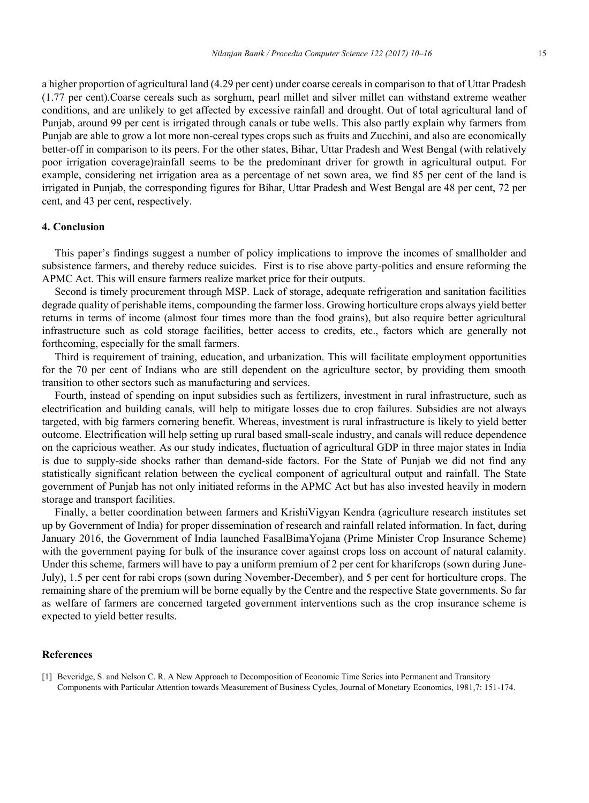a higher proportion of agricultural land (4.29 per cent) under coarse cereals in comparison to that of Uttar Pradesh (1.77 per cent).Coarse cereals such as sorghum, pearl millet and silver millet can withstand extreme weather conditions, and are unlikely to get affected by excessive rainfall and drought. Out of total agricultural land of Punjab, around 99 per cent is irrigated through canals or tube wells. This also partly explain why farmers from Punjab are able to grow a lot more non-cereal types crops such as fruits and Zucchini, and also are economically better-off in comparison to its peers. For the other states, Bihar, Uttar Pradesh and West Bengal (with relatively poor irrigation coverage)rainfall seems to be the predominant driver for growth in agricultural output. For example, considering net irrigation area as a percentage of net sown area, we find 85 per cent of the land is irrigated in Punjab, the corresponding figures for Bihar, Uttar Pradesh and West Bengal are 48 per cent, 72 per cent, and 43 per cent, respectively.

# **4. Conclusion**

This paper's findings suggest a number of policy implications to improve the incomes of smallholder and subsistence farmers, and thereby reduce suicides. First is to rise above party-politics and ensure reforming the APMC Act. This will ensure farmers realize market price for their outputs.

Second is timely procurement through MSP. Lack of storage, adequate refrigeration and sanitation facilities degrade quality of perishable items, compounding the farmer loss. Growing horticulture crops always yield better returns in terms of income (almost four times more than the food grains), but also require better agricultural infrastructure such as cold storage facilities, better access to credits, etc., factors which are generally not forthcoming, especially for the small farmers.

Third is requirement of training, education, and urbanization. This will facilitate employment opportunities for the 70 per cent of Indians who are still dependent on the agriculture sector, by providing them smooth transition to other sectors such as manufacturing and services.

Fourth, instead of spending on input subsidies such as fertilizers, investment in rural infrastructure, such as electrification and building canals, will help to mitigate losses due to crop failures. Subsidies are not always targeted, with big farmers cornering benefit. Whereas, investment is rural infrastructure is likely to yield better outcome. Electrification will help setting up rural based small-scale industry, and canals will reduce dependence on the capricious weather. As our study indicates, fluctuation of agricultural GDP in three major states in India is due to supply-side shocks rather than demand-side factors. For the State of Punjab we did not find any statistically significant relation between the cyclical component of agricultural output and rainfall. The State government of Punjab has not only initiated reforms in the APMC Act but has also invested heavily in modern storage and transport facilities.

Finally, a better coordination between farmers and KrishiVigyan Kendra (agriculture research institutes set up by Government of India) for proper dissemination of research and rainfall related information. In fact, during January 2016, the Government of India launched FasalBimaYojana (Prime Minister Crop Insurance Scheme) with the government paying for bulk of the insurance cover against crops loss on account of natural calamity. Under this scheme, farmers will have to pay a uniform premium of 2 per cent for kharifcrops (sown during June-July), 1.5 per cent for rabi crops (sown during November-December), and 5 per cent for horticulture crops. The remaining share of the premium will be borne equally by the Centre and the respective State governments. So far as welfare of farmers are concerned targeted government interventions such as the crop insurance scheme is expected to yield better results.

# **References**

[1] Beveridge, S. and Nelson C. R. A New Approach to Decomposition of Economic Time Series into Permanent and Transitory Components with Particular Attention towards Measurement of Business Cycles, Journal of Monetary Economics, 1981,7: 151-174.